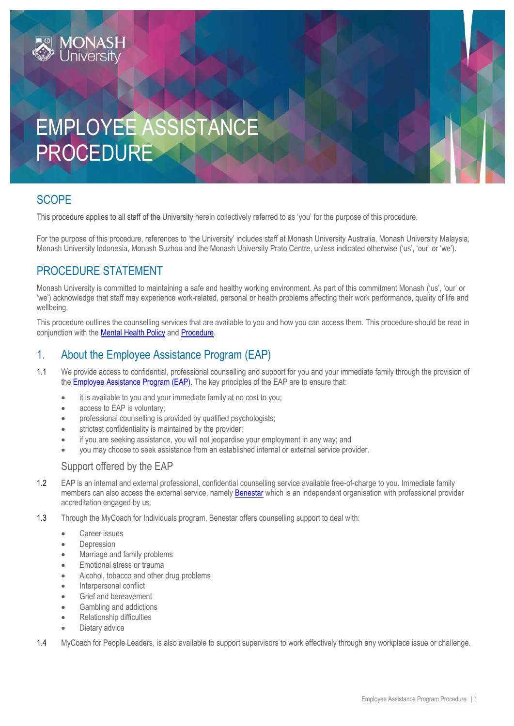# EMPLOYEE ASSISTANCE PROCEDURE

## **SCOPE**

This procedure applies to all staff of the University herein collectively referred to as 'you' for the purpose of this procedure.

For the purpose of this procedure, references to 'the University' includes staff at Monash University Australia, Monash University Malaysia, Monash University Indonesia, Monash Suzhou and the Monash University Prato Centre, unless indicated otherwise ('us', 'our' or 'we').

## PROCEDURE STATEMENT

Monash University is committed to maintaining a safe and healthy working environment. As part of this commitment Monash ('us', 'our' or 'we') acknowledge that staff may experience work-related, personal or health problems affecting their work performance, quality of life and wellbeing.

This procedure outlines the counselling services that are available to you and how you can access them. This procedure should be read in conjunction with the [Mental Health Policy](https://publicpolicydms.monash.edu/Monash/documents/1942902) and [Procedure.](https://publicpolicydms.monash.edu/Monash/documents/1942903)

## 1. About the Employee Assistance Program (EAP)

- 1.1 We provide access to confidential, professional counselling and support for you and your immediate family through the provision of the **Employee Assistance Program (EAP)**. The key principles of the EAP are to ensure that:
	- it is available to you and your immediate family at no cost to you;
	- access to EAP is voluntary;
	- professional counselling is provided by qualified psychologists;
	- strictest confidentiality is maintained by the provider;
	- if you are seeking assistance, you will not jeopardise your employment in any way; and
	- you may choose to seek assistance from an established internal or external service provider.

#### Support offered by the EAP

- 1.2 EAP is an internal and external professional, confidential counselling service available free-of-charge to you. Immediate family members can also access the external service, namely [Benestar](https://benestar.com/) which is an independent organisation with professional provider accreditation engaged by us.
- 1.3 Through the MyCoach for Individuals program, Benestar offers counselling support to deal with:
	- Career issues
	- Depression
	- Marriage and family problems
	- Emotional stress or trauma
	- Alcohol, tobacco and other drug problems
	- Interpersonal conflict
	- Grief and bereavement
	- Gambling and addictions
	- Relationship difficulties
	- Dietary advice

1.4 MyCoach for People Leaders, is also available to support supervisors to work effectively through any workplace issue or challenge.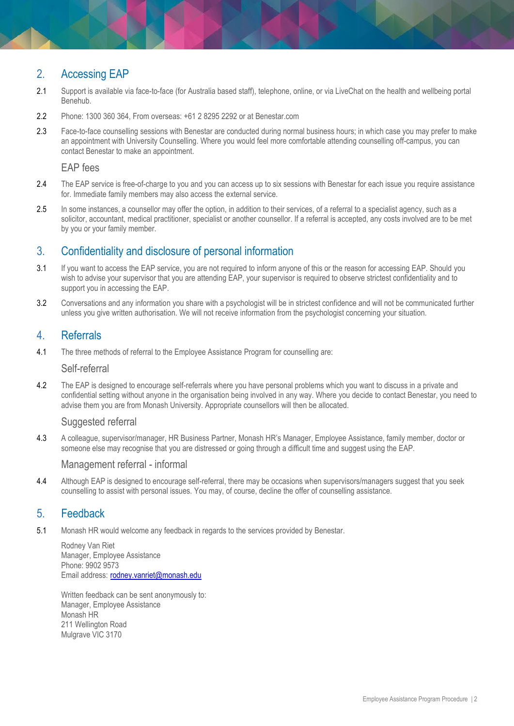# 2. Accessing EAP

- 2.1 Support is available via face-to-face (for Australia based staff), telephone, online, or via LiveChat on the health and wellbeing portal Benehub.
- 2.2 Phone: 1300 360 364, From overseas: +61 2 8295 2292 or at [Benestar.com](https://benestar.com/)
- 2.3 Face-to-face counselling sessions with Benestar are conducted during normal business hours; in which case you may prefer to make an appointment wit[h University Counselling.](http://monash.edu/counselling) Where you would feel more comfortable attending counselling off-campus, you can contact Benestar to make an appointment.

#### EAP fees

- 2.4 The EAP service is free-of-charge to you and you can access up to six sessions with Benestar for each issue you require assistance for. Immediate family members may also access the external service.
- 2.5 In some instances, a counsellor may offer the option, in addition to their services, of a referral to a specialist agency, such as a solicitor, accountant, medical practitioner, specialist or another counsellor. If a referral is accepted, any costs involved are to be met by you or your family member.

#### 3. Confidentiality and disclosure of personal information

- 3.1 If you want to access the EAP service, you are not required to inform anyone of this or the reason for accessing EAP. Should you wish to advise your supervisor that you are attending EAP, your supervisor is required to observe strictest confidentiality and to support you in accessing the EAP.
- 3.2 Conversations and any information you share with a psychologist will be in strictest confidence and will not be communicated further unless you give written authorisation. We will not receive information from the psychologist concerning your situation.

#### 4. Referrals

4.1 The three methods of referral to the Employee Assistance Program for counselling are:

#### Self-referral

4.2 The EAP is designed to encourage self-referrals where you have personal problems which you want to discuss in a private and confidential setting without anyone in the organisation being involved in any way. Where you decide to contact Benestar, you need to advise them you are from Monash University. Appropriate counsellors will then be allocated.

#### Suggested referral

4.3 A colleague, supervisor/manager, HR Business Partner, Monash HR's Manager, Employee Assistance, family member, doctor or someone else may recognise that you are distressed or going through a difficult time and suggest using the EAP.

#### Management referral - informal

4.4 Although EAP is designed to encourage self-referral, there may be occasions when supervisors/managers suggest that you seek counselling to assist with personal issues. You may, of course, decline the offer of counselling assistance.

#### 5. Feedback

5.1 Monash HR would welcome any feedback in regards to the services provided by Benestar.

Rodney Van Riet Manager, Employee Assistance Phone: 9902 9573 Email address: [rodney.vanriet@monash.edu](mailto:Ken.Coles@monash.edu)

Written feedback can be sent anonymously to: Manager, Employee Assistance Monash HR 211 Wellington Road Mulgrave VIC 3170